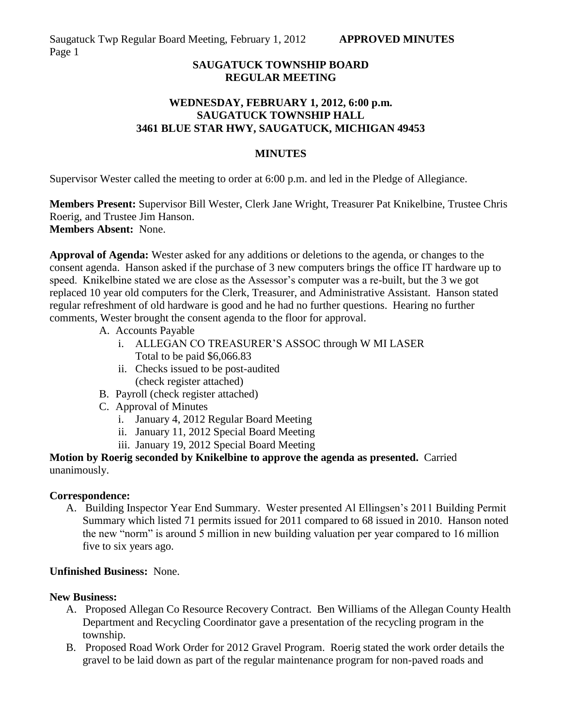#### **SAUGATUCK TOWNSHIP BOARD REGULAR MEETING**

#### **WEDNESDAY, FEBRUARY 1, 2012, 6:00 p.m. SAUGATUCK TOWNSHIP HALL 3461 BLUE STAR HWY, SAUGATUCK, MICHIGAN 49453**

## **MINUTES**

Supervisor Wester called the meeting to order at 6:00 p.m. and led in the Pledge of Allegiance.

**Members Present:** Supervisor Bill Wester, Clerk Jane Wright, Treasurer Pat Knikelbine, Trustee Chris Roerig, and Trustee Jim Hanson. **Members Absent:** None.

**Approval of Agenda:** Wester asked for any additions or deletions to the agenda, or changes to the consent agenda. Hanson asked if the purchase of 3 new computers brings the office IT hardware up to speed. Knikelbine stated we are close as the Assessor's computer was a re-built, but the 3 we got replaced 10 year old computers for the Clerk, Treasurer, and Administrative Assistant. Hanson stated regular refreshment of old hardware is good and he had no further questions. Hearing no further comments, Wester brought the consent agenda to the floor for approval.

- A. Accounts Payable
	- i. ALLEGAN CO TREASURER'S ASSOC through W MI LASER Total to be paid \$6,066.83
	- ii. Checks issued to be post-audited (check register attached)
- B. Payroll (check register attached)
- C. Approval of Minutes
	- i. January 4, 2012 Regular Board Meeting
	- ii. January 11, 2012 Special Board Meeting
	- iii. January 19, 2012 Special Board Meeting

**Motion by Roerig seconded by Knikelbine to approve the agenda as presented.** Carried unanimously.

## **Correspondence:**

A. Building Inspector Year End Summary. Wester presented Al Ellingsen's 2011 Building Permit Summary which listed 71 permits issued for 2011 compared to 68 issued in 2010. Hanson noted the new "norm" is around 5 million in new building valuation per year compared to 16 million five to six years ago.

## **Unfinished Business:** None.

#### **New Business:**

- A. Proposed Allegan Co Resource Recovery Contract. Ben Williams of the Allegan County Health Department and Recycling Coordinator gave a presentation of the recycling program in the township.
- B. Proposed Road Work Order for 2012 Gravel Program. Roerig stated the work order details the gravel to be laid down as part of the regular maintenance program for non-paved roads and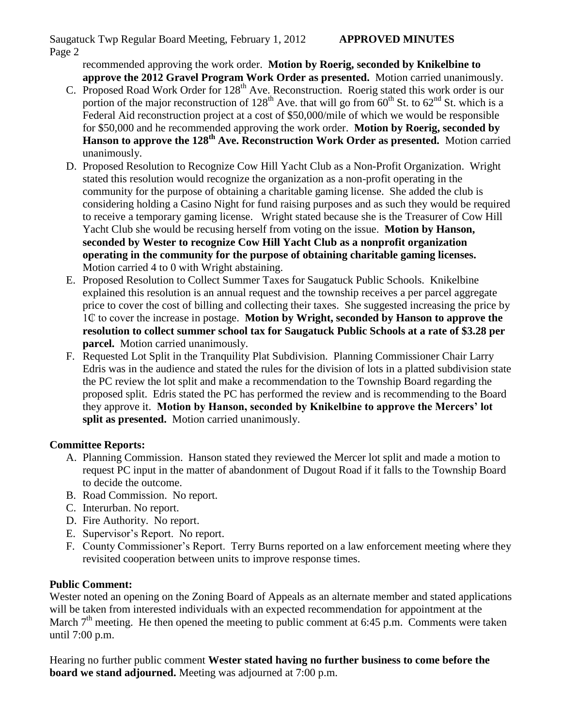Saugatuck Twp Regular Board Meeting, February 1, 2012 **APPROVED MINUTES**  Page 2

recommended approving the work order. **Motion by Roerig, seconded by Knikelbine to approve the 2012 Gravel Program Work Order as presented.** Motion carried unanimously.

- C. Proposed Road Work Order for 128<sup>th</sup> Ave. Reconstruction. Roerig stated this work order is our portion of the major reconstruction of  $128<sup>th</sup>$  Ave. that will go from 60<sup>th</sup> St. to 62<sup>nd</sup> St. which is a Federal Aid reconstruction project at a cost of \$50,000/mile of which we would be responsible for \$50,000 and he recommended approving the work order. **Motion by Roerig, seconded by Hanson to approve the 128th Ave. Reconstruction Work Order as presented.** Motion carried unanimously.
- D. Proposed Resolution to Recognize Cow Hill Yacht Club as a Non-Profit Organization. Wright stated this resolution would recognize the organization as a non-profit operating in the community for the purpose of obtaining a charitable gaming license. She added the club is considering holding a Casino Night for fund raising purposes and as such they would be required to receive a temporary gaming license. Wright stated because she is the Treasurer of Cow Hill Yacht Club she would be recusing herself from voting on the issue. **Motion by Hanson, seconded by Wester to recognize Cow Hill Yacht Club as a nonprofit organization operating in the community for the purpose of obtaining charitable gaming licenses.**  Motion carried 4 to 0 with Wright abstaining.
- E. Proposed Resolution to Collect Summer Taxes for Saugatuck Public Schools. Knikelbine explained this resolution is an annual request and the township receives a per parcel aggregate price to cover the cost of billing and collecting their taxes. She suggested increasing the price by 1₵ to cover the increase in postage. **Motion by Wright, seconded by Hanson to approve the resolution to collect summer school tax for Saugatuck Public Schools at a rate of \$3.28 per parcel.** Motion carried unanimously.
- F. Requested Lot Split in the Tranquility Plat Subdivision. Planning Commissioner Chair Larry Edris was in the audience and stated the rules for the division of lots in a platted subdivision state the PC review the lot split and make a recommendation to the Township Board regarding the proposed split. Edris stated the PC has performed the review and is recommending to the Board they approve it. **Motion by Hanson, seconded by Knikelbine to approve the Mercers' lot split as presented.** Motion carried unanimously.

# **Committee Reports:**

- A. Planning Commission. Hanson stated they reviewed the Mercer lot split and made a motion to request PC input in the matter of abandonment of Dugout Road if it falls to the Township Board to decide the outcome.
- B. Road Commission. No report.
- C. Interurban. No report.
- D. Fire Authority. No report.
- E. Supervisor's Report. No report.
- F. County Commissioner's Report. Terry Burns reported on a law enforcement meeting where they revisited cooperation between units to improve response times.

# **Public Comment:**

Wester noted an opening on the Zoning Board of Appeals as an alternate member and stated applications will be taken from interested individuals with an expected recommendation for appointment at the March  $7<sup>th</sup>$  meeting. He then opened the meeting to public comment at 6:45 p.m. Comments were taken until 7:00 p.m.

Hearing no further public comment **Wester stated having no further business to come before the board we stand adjourned.** Meeting was adjourned at 7:00 p.m.